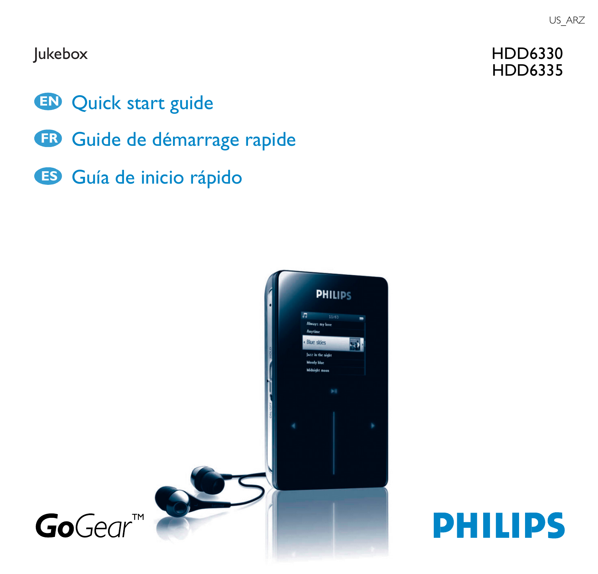### Jukebox

- **EN** Quick start guide
- **FR** Guide de démarrage rapide
- **ES** Guía de inicio rápido





## HDD6330 HDD6335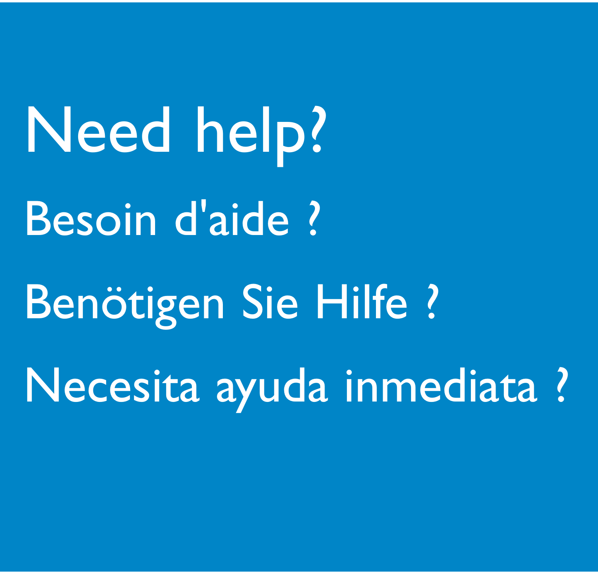**Need help?** Besoin d'aide ? **Benötigen Sie Hilfe ?** Necesita ayuda inmediata ?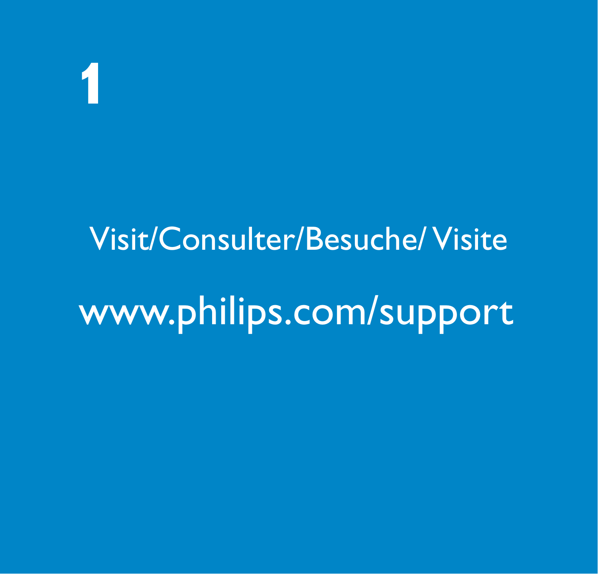1

# Visit/Consulter/Besuche/Visite www.philips.com/support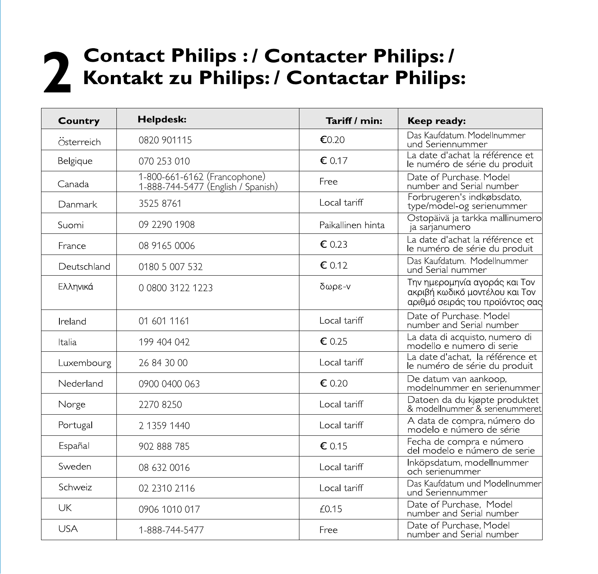# 2 Contact Philips : / Contacter Philips: /<br>2 Kontakt zu Philips: / Contactar Philips:

| Helpdesk:<br>Country |                                                                    | Tariff / min:     | Keep ready:                                                                                        |
|----------------------|--------------------------------------------------------------------|-------------------|----------------------------------------------------------------------------------------------------|
| Österreich           | 0820 901115                                                        | €0.20             | Das Kaufdatum. Modellnummer<br>und Seriennummer                                                    |
| Belgique             | 070 253 010                                                        | € 0.17            | La date d'achat la référence et<br>le numéro de série du produit                                   |
| Canada               | 1-800-661-6162 (Francophone)<br>1-888-744-5477 (English / Spanish) | Free              | Date of Purchase, Model<br>number and Serial number                                                |
| Danmark              | 3525 8761                                                          | Local tariff      | Forbrugeren's indkøbsdato,<br>type/model-og serienummer                                            |
| Suomi                | 09 2290 1908                                                       | Paikallinen hinta | Ostopäivä ja tarkka mallinumero<br>ja sarjanumero                                                  |
| France               | 08 9165 0006                                                       | € 0.23            | La date d'achat la référence et<br>le numéro de série du produit                                   |
| Deutschland          | 0180 5 007 532                                                     | € 0.12            | Das Kaufdatum, Modellnummer<br>und Serial nummer                                                   |
| Ελληνικά             | 0 0800 3122 1223                                                   | δωρε-ν            | Την ημερομηνία αγοράς και Τον<br>ακριβή κωδικό μοντέλου και Τον<br>αριθμό σειράς του προϊόντος σας |
| Ireland              | 01 601 1161                                                        | Local tariff      | Date of Purchase, Model<br>number and Serial number                                                |
| Italia               | 199 404 042                                                        | € 0.25            | La data di acquisto, numero di<br>modello e numero di serie                                        |
| Luxembourg           | 26 84 30 00                                                        | Local tariff      | La date d'achat. la référence et<br>le numéro de série du produit                                  |
| Nederland            | 0900 0400 063                                                      | € 0.20            | De datum van aankoop,<br>modelnummer en serienummer                                                |
| Norge                | 22708250                                                           | Local tariff      | Datoen da du kjøpte produktet<br>& modellnummer & serienummeret                                    |
| Portugal             | 2 1359 1440                                                        |                   | A data de compra, número do<br>modelo e número de série                                            |
| Españal              | 902 888 785                                                        |                   | Fecha de compra e número<br>del modelo e número de serie                                           |
| Sweden               | 08 632 0016                                                        | Local tariff      | Inköpsdatum, modellnummer<br>och serienummer                                                       |
| Schweiz              | 02 2310 2116                                                       | Local tariff      | Das Kaufdatum und Modellnummer<br>und Seriennummer                                                 |
| UK                   | 0906 1010 017                                                      | f0.15             | Date of Purchase, Model<br>number and Serial number                                                |
| USA                  | 1-888-744-5477                                                     | Free              | Date of Purchase, Model<br>number and Serial number                                                |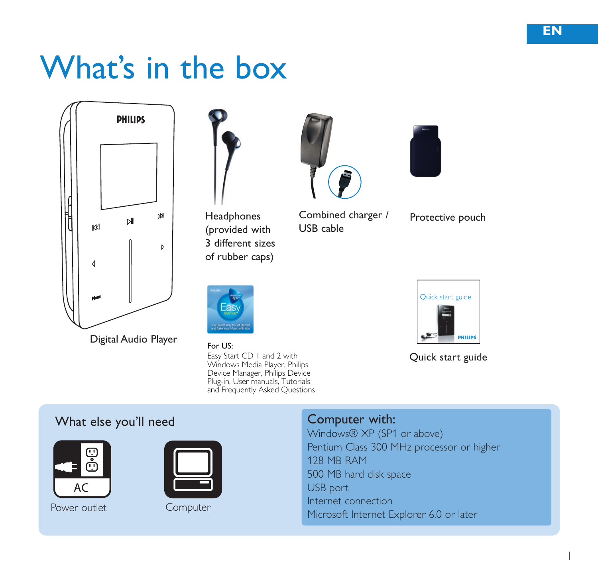# What's in the box





Headphones (provided with 3 different sizes of rubber caps)



Easy Start CD | a Windows Media Player, Philips<br>Device Manager, Philips Device Plug-in. User manuals. Tutorials and Frequently Asked Ouestions For US:



Combined charger / USB cable



Protective pouch



Quick start guide

### What else you'll need



Power outlet Computer



### Computer with:

Windows® XP (SP1 or above) Pentium Class 300 MHz processor or higher 128 MB RAM 500 MB hard disk space USB port Internet connection Microsoft Internet Explorer 6.0 or later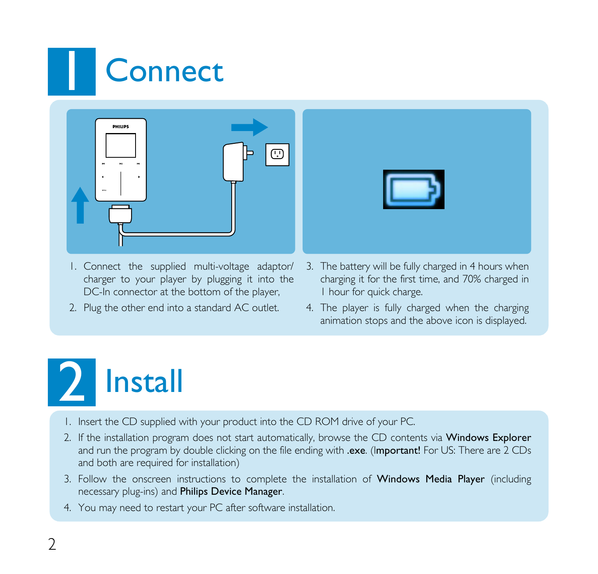# **Connect**



- I. Connect the supplied multi-voltage adaptor/ charger to your player by plugging it into the DC-In connector at the bottom of the player,
- 2. Plug the other end into a standard AC outlet.
- 3. The battery will be fully charged in 4 hours when charging it for the first time, and 70% charged in I hour for quick charge.
- 4. The player is fully charged when the charging animation stops and the above icon is displayed.



- 1. Insert the CD supplied with your product into the CD ROM drive of your PC.
- 2. If the installation program does not start automatically, browse the CD contents via Windows Explorer and run the program by double clicking on the file ending with .exe. (Important! For US: There are 2 CDs and both are required for installation)
- 3. Follow the onscreen instructions to complete the installation of Windows Media Player (including necessary plug-ins) and Philips Device Manager.
- 4. You may need to restart your PC after software installation.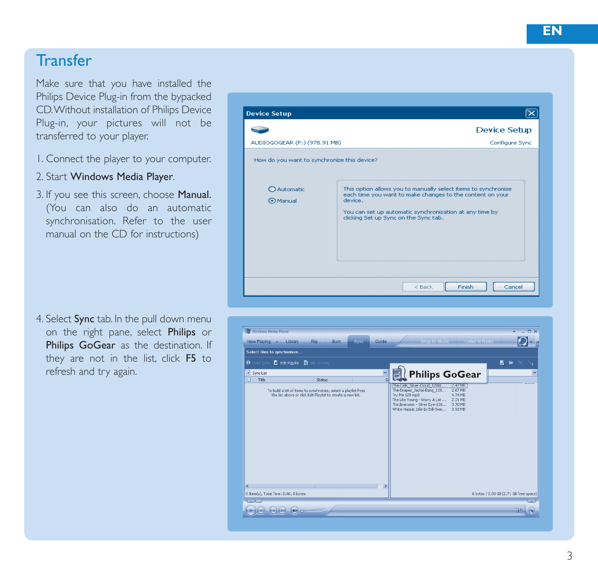# **Transfer**

Make sure that you have installed the Philips Device Plug-in from the bypacked CD.Without installation of Philips Device Plug-in, your pictures will not be transferred to your player.

- 1. Connect the player to your computer.
- 2. Start Windows Media Player.
- 3. If you see this screen, choose Manual. (You can also do an automatic synchronisation. Refer to the user manual on the CD for instructions)

4. Select Sync tab. In the pull down menu on the right pane, select Philips or Philips GoGear as the destination. If they are not in the list, click F5 to



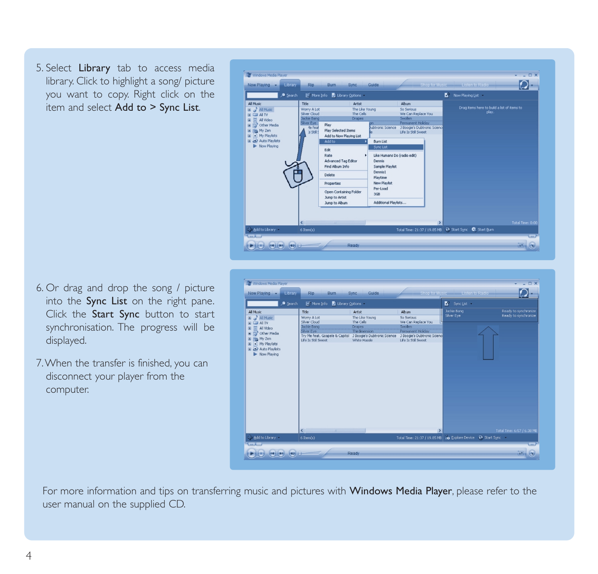5. Select Library tab to access media library. Click to highlight a song/ picture you want to copy. Right click on the item and select Add to > Sync List.



- 6. Or drag and drop the song / picture into the Sync List on the right pane. Click the Start Sync button to start synchronisation. The progress will be displayed.
- 7.When the transfer is finished, you can disconnect your player from the computer.



For more information and tips on transferring music and pictures with Windows Media Player, please refer to the user manual on the supplied CD.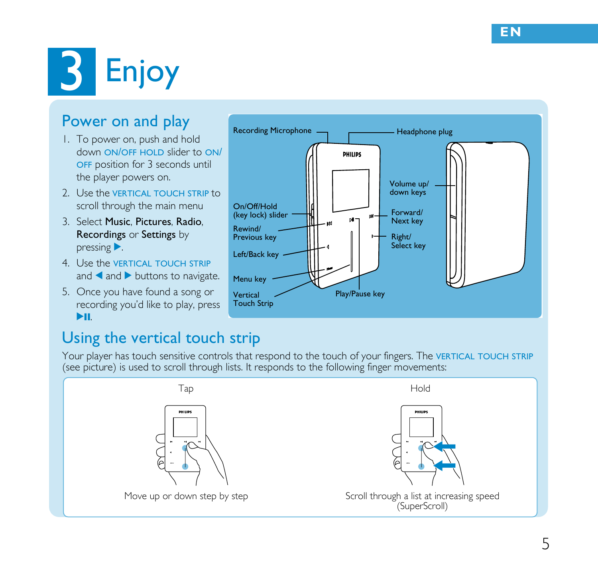# **B** Enjoy

## Power on and play

- I. To power on, push and hold down ON/OFF HOLD slider to ON/ OFF position for 3 seconds until the player powers on.
- 2 Use the VERTICAL TOUCH STRIP to scroll through the main menu
- 3. Select Music, Pictures, Radio. Recordings or Settings by  $presing$ .
- 4 Use the VERTICAL TOUCH STRIP and and buttons to navigate.
- 5. Once you have found a song or recording you'd like to play, press ЪH



## Using the vertical touch strip

Your player has touch sensitive controls that respond to the touch of your fingers. The VERTICAL TOUCH STRIP (see picture) is used to scroll through lists. It responds to the following finger movements:

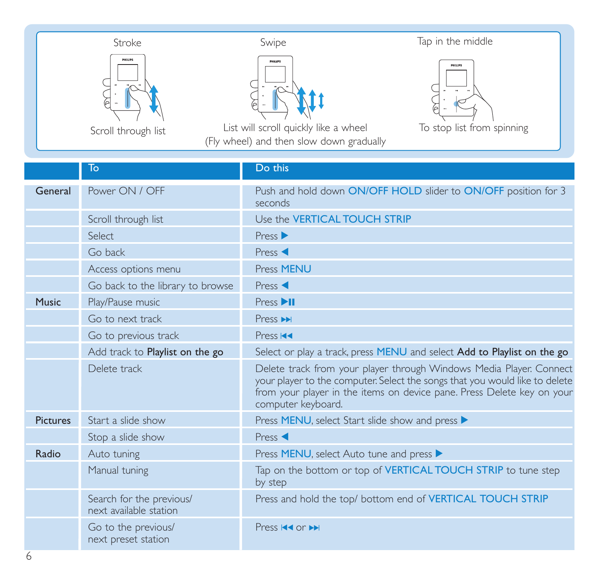| Stroke              | Swipe                                    | Tap in the middle          |
|---------------------|------------------------------------------|----------------------------|
| <b>HIUM</b>         | <b>FIBURS</b>                            | <b>HIURS</b>               |
| Scroll through list | List will scroll quickly like a wheel    | To stop list from spinning |
|                     | (Fly wheel) and then slow down gradually |                            |

|                 | To                                                 | Do this                                                                                                                                                                                                                                            |
|-----------------|----------------------------------------------------|----------------------------------------------------------------------------------------------------------------------------------------------------------------------------------------------------------------------------------------------------|
|                 |                                                    |                                                                                                                                                                                                                                                    |
| General         | Power ON / OFF                                     | Push and hold down ON/OFF HOLD slider to ON/OFF position for 3<br>seconds                                                                                                                                                                          |
|                 | Scroll through list                                | Use the <b>VERTICAL TOUCH STRIP</b>                                                                                                                                                                                                                |
|                 | Select                                             | Press                                                                                                                                                                                                                                              |
|                 | Go back                                            | Press <                                                                                                                                                                                                                                            |
|                 | Access options menu                                | Press MENU                                                                                                                                                                                                                                         |
|                 | Go back to the library to browse                   | Press <                                                                                                                                                                                                                                            |
| Music           | Play/Pause music                                   | Press <sub>III</sub>                                                                                                                                                                                                                               |
|                 | Go to next track                                   | Press <b>PH</b>                                                                                                                                                                                                                                    |
|                 | Go to previous track                               | Press <sub>I44</sub>                                                                                                                                                                                                                               |
|                 | Add track to Playlist on the go                    | Select or play a track, press MENU and select Add to Playlist on the go                                                                                                                                                                            |
|                 | Delete track                                       | Delete track from your player through Windows Media Player. Connect<br>your player to the computer. Select the songs that you would like to delete<br>from your player in the items on device pane. Press Delete key on your<br>computer keyboard. |
| <b>Pictures</b> | Start a slide show                                 | Press MENU, select Start slide show and press ▶                                                                                                                                                                                                    |
|                 | Stop a slide show                                  | Press <                                                                                                                                                                                                                                            |
| Radio           | Auto tuning                                        | Press MENU, select Auto tune and press ▶                                                                                                                                                                                                           |
|                 | Manual tuning                                      | Tap on the bottom or top of VERTICAL TOUCH STRIP to tune step<br>by step                                                                                                                                                                           |
|                 | Search for the previous/<br>next available station | Press and hold the top/ bottom end of VERTICAL TOUCH STRIP                                                                                                                                                                                         |
|                 | Go to the previous/<br>next preset station         | Press <b>K4</b> or <b>PH</b>                                                                                                                                                                                                                       |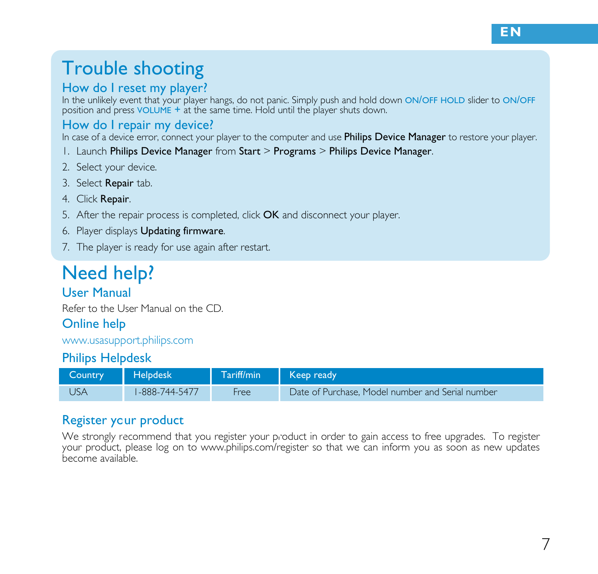# Trouble shooting

#### How do I reset my player?

In the unlikely event that your player hangs, do not panic. Simply push and hold down ON/OFF HOLD slider to ON/OFF position and press VOLUME + at the same time. Hold until the player shuts down.

#### How do I repair my device?

In case of a device error, connect your player to the computer and use Philips Device Manager to restore your player.

- 1. Launch Philips Device Manager from Start > Programs > Philips Device Manager.
- 2. Select your device.
- 3. Select Repair tab.
- 4. Click Repair.
- 5. After the repair process is completed, click OK and disconnect your player.
- 6. Player displays Updating firmware.
- 7. The player is ready for use again after restart.

# Need help?

#### User Manual

Refer to the User Manual on the CD

#### Online help

www.usasupport.philips.com

#### Philips Helpdesk

| Country | <b>Helpdesk</b> | Tariff/min | Keep ready                                       |
|---------|-----------------|------------|--------------------------------------------------|
| JSA     | 1-888-744-5477  | Free       | Date of Purchase. Model number and Serial number |

### Register your product

.<br>We strongly recommend that you register your product in order to gain access to free upgrades. To register your product, please log on to www.philips.com/register so that we can inform you as soon as new updates<br>become available. --)'